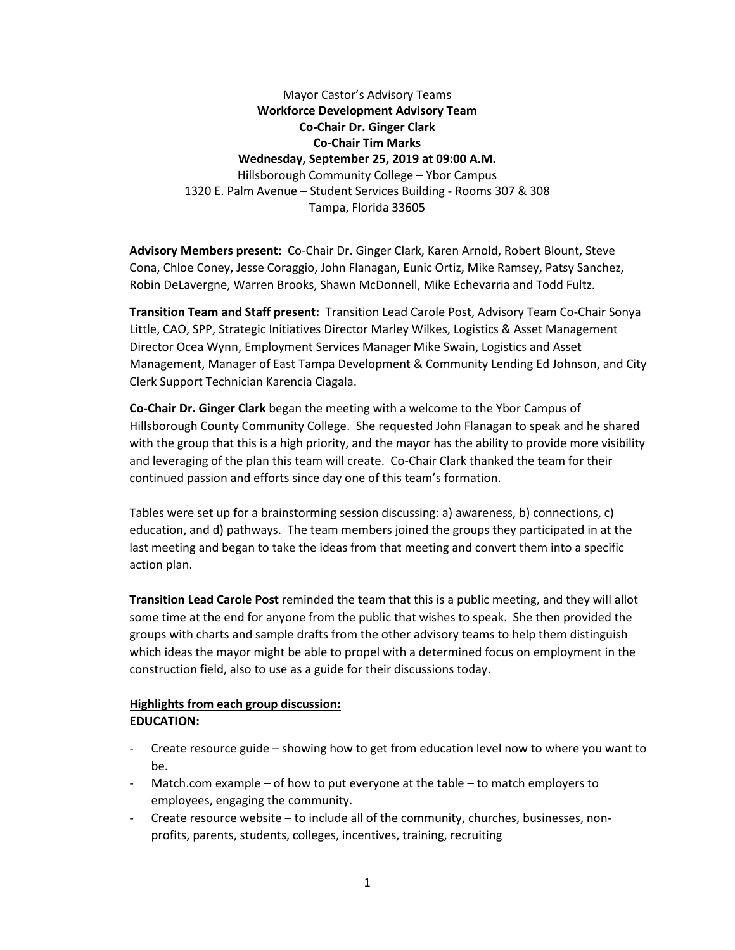Mayor Castor's Advisory Teams **Workforce Development Advisory Team Co-Chair Dr. Ginger Clark Co-Chair Tim Marks Wednesday, September 25, 2019 at 09:00 A.M.** Hillsborough Community College – Ybor Campus 1320 E. Palm Avenue – Student Services Building - Rooms 307 & 308 Tampa, Florida 33605

**Advisory Members present:** Co-Chair Dr. Ginger Clark, Karen Arnold, Robert Blount, Steve Cona, Chloe Coney, Jesse Coraggio, John Flanagan, Eunic Ortiz, Mike Ramsey, Patsy Sanchez, Robin DeLavergne, Warren Brooks, Shawn McDonnell, Mike Echevarria and Todd Fultz.

**Transition Team and Staff present:** Transition Lead Carole Post, Advisory Team Co-Chair Sonya Little, CAO, SPP, Strategic Initiatives Director Marley Wilkes, Logistics & Asset Management Director Ocea Wynn, Employment Services Manager Mike Swain, Logistics and Asset Management, Manager of East Tampa Development & Community Lending Ed Johnson, and City Clerk Support Technician Karencia Ciagala.

**Co-Chair Dr. Ginger Clark** began the meeting with a welcome to the Ybor Campus of Hillsborough County Community College. She requested John Flanagan to speak and he shared with the group that this is a high priority, and the mayor has the ability to provide more visibility and leveraging of the plan this team will create. Co-Chair Clark thanked the team for their continued passion and efforts since day one of this team's formation.

Tables were set up for a brainstorming session discussing: a) awareness, b) connections, c) education, and d) pathways. The team members joined the groups they participated in at the last meeting and began to take the ideas from that meeting and convert them into a specific action plan.

**Transition Lead Carole Post** reminded the team that this is a public meeting, and they will allot some time at the end for anyone from the public that wishes to speak. She then provided the groups with charts and sample drafts from the other advisory teams to help them distinguish which ideas the mayor might be able to propel with a determined focus on employment in the construction field, also to use as a guide for their discussions today.

## **Highlights from each group discussion: EDUCATION:**

- Create resource guide showing how to get from education level now to where you want to be.
- Match.com example of how to put everyone at the table to match employers to employees, engaging the community.
- Create resource website to include all of the community, churches, businesses, nonprofits, parents, students, colleges, incentives, training, recruiting